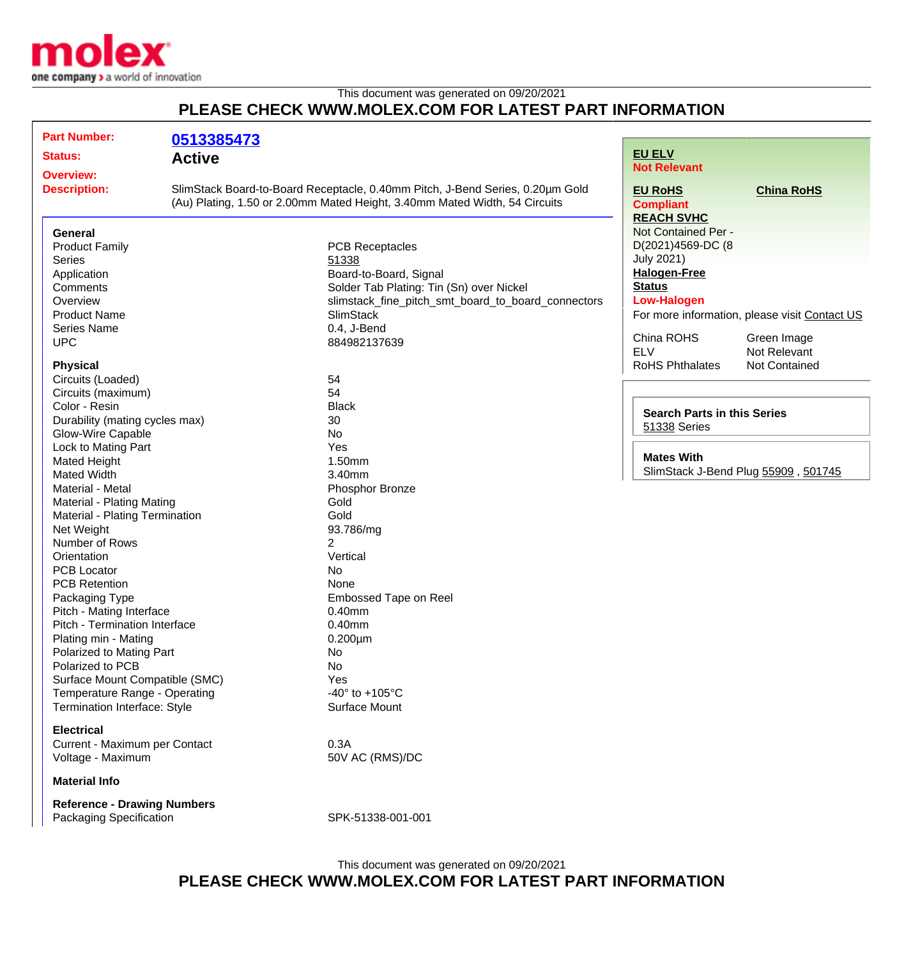

This document was generated on 09/20/2021

## **PLEASE CHECK WWW.MOLEX.COM FOR LATEST PART INFORMATION**

| <b>Part Number:</b>                 | 0513385473                                                                                                                                                  |                                                    |                                    |                                               |
|-------------------------------------|-------------------------------------------------------------------------------------------------------------------------------------------------------------|----------------------------------------------------|------------------------------------|-----------------------------------------------|
| <b>Status:</b>                      | <b>Active</b>                                                                                                                                               |                                                    | <b>EU ELV</b>                      |                                               |
| <b>Overview:</b>                    |                                                                                                                                                             |                                                    | <b>Not Relevant</b>                |                                               |
| <b>Description:</b>                 | SlimStack Board-to-Board Receptacle, 0.40mm Pitch, J-Bend Series, 0.20µm Gold<br>(Au) Plating, 1.50 or 2.00mm Mated Height, 3.40mm Mated Width, 54 Circuits |                                                    | <b>EU RoHS</b><br><b>Compliant</b> | <b>China RoHS</b>                             |
|                                     |                                                                                                                                                             |                                                    | <b>REACH SVHC</b>                  |                                               |
| <b>General</b>                      |                                                                                                                                                             |                                                    | Not Contained Per -                |                                               |
| <b>Product Family</b>               |                                                                                                                                                             | <b>PCB Receptacles</b>                             | D(2021)4569-DC (8                  |                                               |
| Series                              |                                                                                                                                                             | 51338                                              | <b>July 2021)</b>                  |                                               |
| Application                         |                                                                                                                                                             | Board-to-Board, Signal                             | <b>Halogen-Free</b>                |                                               |
| Comments                            |                                                                                                                                                             | Solder Tab Plating: Tin (Sn) over Nickel           | <b>Status</b>                      |                                               |
| Overview                            |                                                                                                                                                             | slimstack_fine_pitch_smt_board_to_board_connectors | <b>Low-Halogen</b>                 |                                               |
| <b>Product Name</b>                 |                                                                                                                                                             | <b>SlimStack</b>                                   |                                    | For more information, please visit Contact US |
| Series Name                         |                                                                                                                                                             | 0.4, J-Bend                                        |                                    |                                               |
| <b>UPC</b>                          |                                                                                                                                                             | 884982137639                                       | China ROHS                         | Green Image                                   |
|                                     |                                                                                                                                                             |                                                    | <b>ELV</b>                         | Not Relevant                                  |
| <b>Physical</b>                     |                                                                                                                                                             |                                                    | RoHS Phthalates                    | Not Contained                                 |
| Circuits (Loaded)                   |                                                                                                                                                             | 54                                                 |                                    |                                               |
| Circuits (maximum)                  |                                                                                                                                                             | 54                                                 |                                    |                                               |
| Color - Resin                       |                                                                                                                                                             | <b>Black</b>                                       | <b>Search Parts in this Series</b> |                                               |
| Durability (mating cycles max)      |                                                                                                                                                             | 30                                                 | 51338 Series                       |                                               |
| Glow-Wire Capable                   |                                                                                                                                                             | <b>No</b>                                          |                                    |                                               |
| Lock to Mating Part                 |                                                                                                                                                             | Yes                                                |                                    |                                               |
| <b>Mated Height</b>                 |                                                                                                                                                             | 1.50mm                                             | <b>Mates With</b>                  |                                               |
| <b>Mated Width</b>                  |                                                                                                                                                             | 3.40mm                                             |                                    | SlimStack J-Bend Plug 55909, 501745           |
| Material - Metal                    |                                                                                                                                                             | Phosphor Bronze                                    |                                    |                                               |
| <b>Material - Plating Mating</b>    |                                                                                                                                                             | Gold                                               |                                    |                                               |
| Material - Plating Termination      |                                                                                                                                                             | Gold                                               |                                    |                                               |
| Net Weight                          |                                                                                                                                                             | 93.786/mg                                          |                                    |                                               |
| Number of Rows                      |                                                                                                                                                             | 2                                                  |                                    |                                               |
| Orientation                         |                                                                                                                                                             | Vertical                                           |                                    |                                               |
| <b>PCB Locator</b>                  |                                                                                                                                                             | <b>No</b>                                          |                                    |                                               |
| <b>PCB Retention</b>                |                                                                                                                                                             | None                                               |                                    |                                               |
| Packaging Type                      |                                                                                                                                                             | Embossed Tape on Reel                              |                                    |                                               |
| Pitch - Mating Interface            |                                                                                                                                                             | 0.40mm                                             |                                    |                                               |
| Pitch - Termination Interface       |                                                                                                                                                             | 0.40mm                                             |                                    |                                               |
| Plating min - Mating                |                                                                                                                                                             | $0.200 \mu m$                                      |                                    |                                               |
| Polarized to Mating Part            |                                                                                                                                                             |                                                    |                                    |                                               |
| Polarized to PCB                    |                                                                                                                                                             | No                                                 |                                    |                                               |
|                                     |                                                                                                                                                             | <b>No</b>                                          |                                    |                                               |
| Surface Mount Compatible (SMC)      |                                                                                                                                                             | Yes                                                |                                    |                                               |
| Temperature Range - Operating       |                                                                                                                                                             | -40 $\degree$ to +105 $\degree$ C                  |                                    |                                               |
| <b>Termination Interface: Style</b> |                                                                                                                                                             | Surface Mount                                      |                                    |                                               |
| <b>Electrical</b>                   |                                                                                                                                                             |                                                    |                                    |                                               |
| Current - Maximum per Contact       |                                                                                                                                                             | 0.3A                                               |                                    |                                               |
| Voltage - Maximum                   |                                                                                                                                                             | 50V AC (RMS)/DC                                    |                                    |                                               |
| <b>Material Info</b>                |                                                                                                                                                             |                                                    |                                    |                                               |
| <b>Reference - Drawing Numbers</b>  |                                                                                                                                                             |                                                    |                                    |                                               |

Packaging Specification SPK-51338-001-001